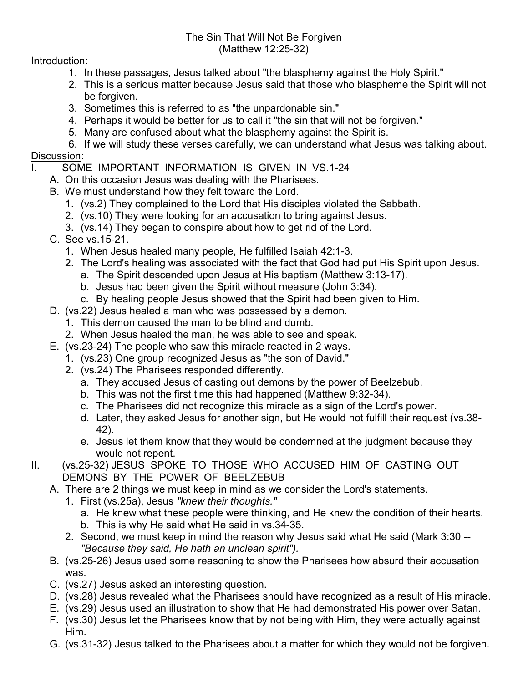## The Sin That Will Not Be Forgiven (Matthew 12:25-32)

## Introduction:

- 1. In these passages, Jesus talked about "the blasphemy against the Holy Spirit."
- 2. This is a serious matter because Jesus said that those who blaspheme the Spirit will not be forgiven.
- 3. Sometimes this is referred to as "the unpardonable sin."
- 4. Perhaps it would be better for us to call it "the sin that will not be forgiven."
- 5. Many are confused about what the blasphemy against the Spirit is.

6. If we will study these verses carefully, we can understand what Jesus was talking about.

## Discussion:

- I. SOME IMPORTANT INFORMATION IS GIVEN IN VS.1-24
	- A. On this occasion Jesus was dealing with the Pharisees.
	- B. We must understand how they felt toward the Lord.
		- 1. (vs.2) They complained to the Lord that His disciples violated the Sabbath.
		- 2. (vs.10) They were looking for an accusation to bring against Jesus.
		- 3. (vs.14) They began to conspire about how to get rid of the Lord.
	- C. See vs.15-21.
		- 1. When Jesus healed many people, He fulfilled Isaiah 42:1-3.
		- 2. The Lord's healing was associated with the fact that God had put His Spirit upon Jesus.
			- a. The Spirit descended upon Jesus at His baptism (Matthew 3:13-17).
			- b. Jesus had been given the Spirit without measure (John 3:34).
			- c. By healing people Jesus showed that the Spirit had been given to Him.
	- D. (vs.22) Jesus healed a man who was possessed by a demon.
		- 1. This demon caused the man to be blind and dumb.
			- 2. When Jesus healed the man, he was able to see and speak.
	- E. (vs.23-24) The people who saw this miracle reacted in 2 ways.
		- 1. (vs.23) One group recognized Jesus as "the son of David."
		- 2. (vs.24) The Pharisees responded differently.
			- a. They accused Jesus of casting out demons by the power of Beelzebub.
			- b. This was not the first time this had happened (Matthew 9:32-34).
			- c. The Pharisees did not recognize this miracle as a sign of the Lord's power.
			- d. Later, they asked Jesus for another sign, but He would not fulfill their request (vs.38- 42).
			- e. Jesus let them know that they would be condemned at the judgment because they would not repent.
- II. (vs.25-32) JESUS SPOKE TO THOSE WHO ACCUSED HIM OF CASTING OUT DEMONS BY THE POWER OF BEELZEBUB
	- A. There are 2 things we must keep in mind as we consider the Lord's statements.
		- 1. First (vs.25a), Jesus "knew their thoughts."
			- a. He knew what these people were thinking, and He knew the condition of their hearts. b. This is why He said what He said in vs.34-35.
		- 2. Second, we must keep in mind the reason why Jesus said what He said (Mark 3:30 -- "Because they said, He hath an unclean spirit").
	- B. (vs.25-26) Jesus used some reasoning to show the Pharisees how absurd their accusation was.
	- C. (vs.27) Jesus asked an interesting question.
	- D. (vs.28) Jesus revealed what the Pharisees should have recognized as a result of His miracle.
	- E. (vs.29) Jesus used an illustration to show that He had demonstrated His power over Satan.
	- F. (vs.30) Jesus let the Pharisees know that by not being with Him, they were actually against Him.
	- G. (vs.31-32) Jesus talked to the Pharisees about a matter for which they would not be forgiven.